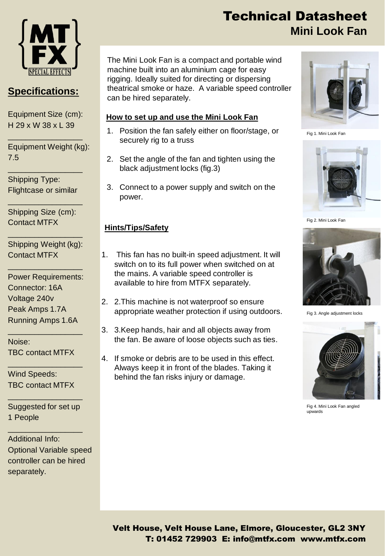

## **Specifications:**

Equipment Size (cm): H 29 x W 38 x L 39

\_\_\_\_\_\_\_\_\_\_\_\_\_\_\_\_\_

Equipment Weight (kg): 7.5

Shipping Type: Flightcase or similar

\_\_\_\_\_\_\_\_\_\_\_\_\_\_\_\_\_

Shipping Size (cm): Contact MTFX

\_\_\_\_\_\_\_\_\_\_\_\_\_\_\_\_\_

Shipping Weight (kg): Contact MTFX

\_\_\_\_\_\_\_\_\_\_\_\_\_\_\_\_\_

\_\_\_\_\_\_\_\_\_\_\_\_\_\_\_\_\_

Power Requirements: Connector: 16A Voltage 240v Peak Amps 1.7A Running Amps 1.6A

\_\_\_\_\_\_\_\_\_\_\_\_\_\_\_\_\_

\_\_\_\_\_\_\_\_\_\_\_\_\_\_\_\_\_

Noise: TBC contact MTFX

Wind Speeds: TBC contact MTFX

Suggested for set up 1 People

\_\_\_\_\_\_\_\_\_\_\_\_\_\_\_\_\_

\_\_\_\_\_\_\_\_\_\_\_\_\_\_\_\_\_

Additional Info: Optional Variable speed controller can be hired separately.

# Technical Datasheet **Mini Look Fan**

The Mini Look Fan is a compact and portable wind machine built into an aluminium cage for easy rigging. Ideally suited for directing or dispersing theatrical smoke or haze. A variable speed controller can be hired separately.

#### **How to set up and use the Mini Look Fan**

- 1. Position the fan safely either on floor/stage, or securely rig to a truss
- 2. Set the angle of the fan and tighten using the black adjustment locks (fig.3)
- 3. Connect to a power supply and switch on the power.

#### **Hints/Tips/Safety**

- 1. This fan has no built-in speed adjustment. It will switch on to its full power when switched on at the mains. A variable speed controller is available to hire from MTFX separately.
- 2. 2.This machine is not waterproof so ensure appropriate weather protection if using outdoors.
- 3. 3.Keep hands, hair and all objects away from the fan. Be aware of loose objects such as ties.
- 4. If smoke or debris are to be used in this effect. Always keep it in front of the blades. Taking it behind the fan risks injury or damage.



Fig 1. Mini Look Fan



Fig 2. Mini Look Fan



Fig 3. Angle adjustment locks



Fig 4. Mini Look Fan angled upwards